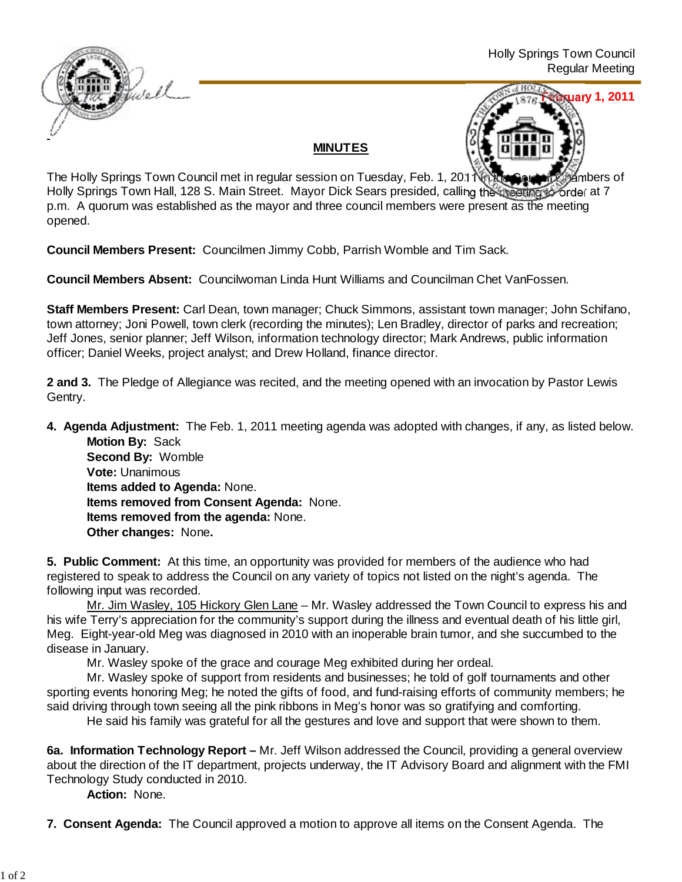

## **MINUTES**



The Holly Springs Town Council met in regular session on Tuesday, Feb. 1, 2011 16: 10 Council Chambers of Holly Springs Town Hall, 128 S. Main Street. Mayor Dick Sears presided, calling the meeting to order at 7 p.m. A quorum was established as the mayor and three council members were present as the meeting opened.

**Council Members Present:** Councilmen Jimmy Cobb, Parrish Womble and Tim Sack.

**Council Members Absent:** Councilwoman Linda Hunt Williams and Councilman Chet VanFossen.

**Staff Members Present:** Carl Dean, town manager; Chuck Simmons, assistant town manager; John Schifano, town attorney; Joni Powell, town clerk (recording the minutes); Len Bradley, director of parks and recreation; Jeff Jones, senior planner; Jeff Wilson, information technology director; Mark Andrews, public information officer; Daniel Weeks, project analyst; and Drew Holland, finance director.

**2 and 3.** The Pledge of Allegiance was recited, and the meeting opened with an invocation by Pastor Lewis Gentry.

**4. Agenda Adjustment:** The Feb. 1, 2011 meeting agenda was adopted with changes, if any, as listed below. **Motion By: Sack** 

 **Second By:** Womble **Vote:** Unanimous **Items added to Agenda:** None. **Items removed from Consent Agenda:** None. **Items removed from the agenda:** None. **Other changes:** None**.**

**5. Public Comment:** At this time, an opportunity was provided for members of the audience who had registered to speak to address the Council on any variety of topics not listed on the night's agenda. The following input was recorded.

Mr. Jim Wasley, 105 Hickory Glen Lane – Mr. Wasley addressed the Town Council to express his and his wife Terry's appreciation for the community's support during the illness and eventual death of his little girl, Meg. Eight-year-old Meg was diagnosed in 2010 with an inoperable brain tumor, and she succumbed to the disease in January.

Mr. Wasley spoke of the grace and courage Meg exhibited during her ordeal.

Mr. Wasley spoke of support from residents and businesses; he told of golf tournaments and other sporting events honoring Meg; he noted the gifts of food, and fund-raising efforts of community members; he said driving through town seeing all the pink ribbons in Meg's honor was so gratifying and comforting.

He said his family was grateful for all the gestures and love and support that were shown to them.

**6a. Information Technology Report –** Mr. Jeff Wilson addressed the Council, providing a general overview about the direction of the IT department, projects underway, the IT Advisory Board and alignment with the FMI Technology Study conducted in 2010.

**Action:** None.

**7. Consent Agenda:** The Council approved a motion to approve all items on the Consent Agenda. The